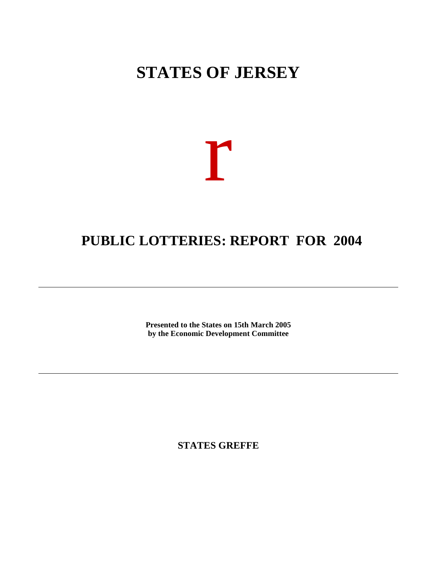# **STATES OF JERSEY**

# r

# **PUBLIC LOTTERIES: REPORT FOR 2004**

**Presented to the States on 15th March 2005 by the Economic Development Committee**

**STATES GREFFE**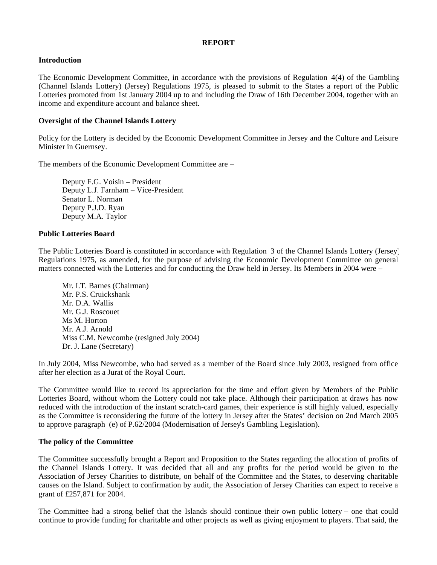## **REPORT**

# **Introduction**

The Economic Development Committee, in accordance with the provisions of Regulation 4(4) of the Gambling (Channel Islands Lottery) (Jersey) Regulations 1975, is pleased to submit to the States a report of the Public Lotteries promoted from 1st January 2004 up to and including the Draw of 16th December 2004, together with an income and expenditure account and balance sheet.

## **Oversight of the Channel Islands Lottery**

Policy for the Lottery is decided by the Economic Development Committee in Jersey and the Culture and Leisure Minister in Guernsey.

The members of the Economic Development Committee are –

 Deputy F.G. Voisin – President Deputy L.J. Farnham – Vice-President Senator L. Norman Deputy P.J.D. Ryan Deputy M.A. Taylor

#### **Public Lotteries Board**

The Public Lotteries Board is constituted in accordance with Regulation 3 of the Channel Islands Lottery (Jersey) Regulations 1975, as amended, for the purpose of advising the Economic Development Committee on general matters connected with the Lotteries and for conducting the Draw held in Jersey. Its Members in 2004 were –

 Mr. I.T. Barnes (Chairman) Mr. P.S. Cruickshank Mr. D.A. Wallis Mr. G.J. Roscouet Ms M. Horton Mr. A.J. Arnold Miss C.M. Newcombe (resigned July 2004) Dr. J. Lane (Secretary)

In July 2004, Miss Newcombe, who had served as a member of the Board since July 2003, resigned from office after her election as a Jurat of the Royal Court.

The Committee would like to record its appreciation for the time and effort given by Members of the Public Lotteries Board, without whom the Lottery could not take place. Although their participation at draws has now reduced with the introduction of the instant scratch-card games, their experience is still highly valued, especially as the Committee is reconsidering the future of the lottery in Jersey after the States' decision on 2nd March 2005 to approve paragraph (e) of P.62/2004 (Modernisation of Jersey's Gambling Legislation).

#### **The policy of the Committee**

The Committee successfully brought a Report and Proposition to the States regarding the allocation of profits of the Channel Islands Lottery. It was decided that all and any profits for the period would be given to the Association of Jersey Charities to distribute, on behalf of the Committee and the States, to deserving charitable causes on the Island. Subject to confirmation by audit, the Association of Jersey Charities can expect to receive a grant of £257,871 for 2004.

The Committee had a strong belief that the Islands should continue their own public lottery – one that could continue to provide funding for charitable and other projects as well as giving enjoyment to players. That said, the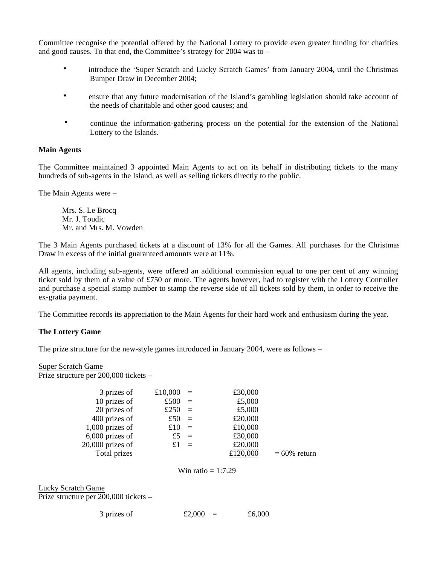Committee recognise the potential offered by the National Lottery to provide even greater funding for charities and good causes. To that end, the Committee's strategy for 2004 was to –

- introduce the 'Super Scratch and Lucky Scratch Games' from January 2004, until the Christmas Bumper Draw in December 2004;
- ensure that any future modernisation of the Island's gambling legislation should take account of the needs of charitable and other good causes; and
- continue the information-gathering process on the potential for the extension of the National Lottery to the Islands.

#### **Main Agents**

The Committee maintained 3 appointed Main Agents to act on its behalf in distributing tickets to the many hundreds of sub-agents in the Island, as well as selling tickets directly to the public.

The Main Agents were –

 Mrs. S. Le Brocq Mr. J. Toudic Mr. and Mrs. M. Vowden

The 3 Main Agents purchased tickets at a discount of 13% for all the Games. All purchases for the Christmas Draw in excess of the initial guaranteed amounts were at 11%.

All agents, including sub-agents, were offered an additional commission equal to one per cent of any winning ticket sold by them of a value of £750 or more. The agents however, had to register with the Lottery Controller and purchase a special stamp number to stamp the reverse side of all tickets sold by them, in order to receive the ex-gratia payment.

The Committee records its appreciation to the Main Agents for their hard work and enthusiasm during the year.

#### **The Lottery Game**

The prize structure for the new-style games introduced in January 2004, were as follows –

#### Super Scratch Game

Prize structure per 200,000 tickets –

| 3 prizes of        | £10,000 | $=$      | £30,000  |                 |
|--------------------|---------|----------|----------|-----------------|
| 10 prizes of       | £500    | $\equiv$ | £5,000   |                 |
| 20 prizes of       | £250    | $\equiv$ | £5,000   |                 |
| 400 prizes of      | £50     | $\equiv$ | £20,000  |                 |
| $1,000$ prizes of  | £10     | $\equiv$ | £10,000  |                 |
| $6,000$ prizes of  | £5      | $\equiv$ | £30,000  |                 |
| $20,000$ prizes of | £1      | $\equiv$ | £20,000  |                 |
| Total prizes       |         |          | £120,000 | $= 60\%$ return |
|                    |         |          |          |                 |

Win ratio  $= 1:7.29$ 

# Lucky Scratch Game

Prize structure per 200,000 tickets –

| 3 prizes of | £2,000 | £6,000 |
|-------------|--------|--------|
|-------------|--------|--------|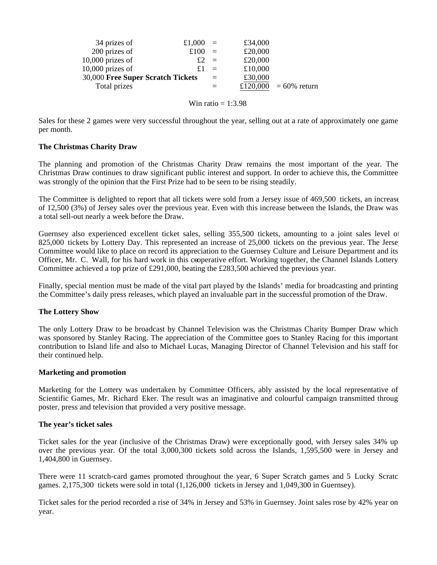| 34 prizes of                      | £1,000 | $\equiv$ | £34,000 |                       |
|-----------------------------------|--------|----------|---------|-----------------------|
| 200 prizes of                     | £100   | $=$      | £20,000 |                       |
| $10,000$ prizes of                | £2     | $=$      | £20,000 |                       |
| $10,000$ prizes of                |        | $=$      | £10,000 |                       |
| 30,000 Free Super Scratch Tickets |        | $=$      | £30,000 |                       |
| Total prizes                      |        |          |         | £120,000 = 60% return |
|                                   |        |          |         |                       |

Win ratio  $= 1:3.98$ 

Sales for these 2 games were very successful throughout the year, selling out at a rate of approximately one game per month.

## **The Christmas Charity Draw**

The planning and promotion of the Christmas Charity Draw remains the most important of the year. The Christmas Draw continues to draw significant public interest and support. In order to achieve this, the Committee was strongly of the opinion that the First Prize had to be seen to be rising steadily.

The Committee is delighted to report that all tickets were sold from a Jersey issue of 469,500 tickets, an increase of 12,500 (3%) of Jersey sales over the previous year. Even with this increase between the Islands, the Draw was a total sell-out nearly a week before the Draw.

Guernsey also experienced excellent ticket sales, selling 355,500 tickets, amounting to a joint sales level of 825,000 tickets by Lottery Day. This represented an increase of 25,000 tickets on the previous year. The Jerse Committee would like to place on record its appreciation to the Guernsey Culture and Leisure Department and its Officer, Mr. C. Wall, for his hard work in this cooperative effort. Working together, the Channel Islands Lottery Committee achieved a top prize of £291,000, beating the £283,500 achieved the previous year.

Finally, special mention must be made of the vital part played by the Islands' media for broadcasting and printing the Committee's daily press releases, which played an invaluable part in the successful promotion of the Draw.

#### **The Lottery Show**

The only Lottery Draw to be broadcast by Channel Television was the Christmas Charity Bumper Draw which was sponsored by Stanley Racing. The appreciation of the Committee goes to Stanley Racing for this important contribution to Island life and also to Michael Lucas, Managing Director of Channel Television and his staff for their continued help.

#### **Marketing and promotion**

Marketing for the Lottery was undertaken by Committee Officers, ably assisted by the local representative of Scientific Games, Mr. Richard Eker. The result was an imaginative and colourful campaign transmitted through poster, press and television that provided a very positive message.

#### **The year's ticket sales**

Ticket sales for the year (inclusive of the Christmas Draw) were exceptionally good, with Jersey sales 34% up over the previous year. Of the total 3,000,300 tickets sold across the Islands, 1,595,500 were in Jersey and 1,404,800 in Guernsey.

There were 11 scratch-card games promoted throughout the year, 6 Super Scratch games and 5 Lucky Scratch games. 2,175,300 tickets were sold in total (1,126,000 tickets in Jersey and 1,049,300 in Guernsey).

Ticket sales for the period recorded a rise of 34% in Jersey and 53% in Guernsey. Joint sales rose by 42% year on year.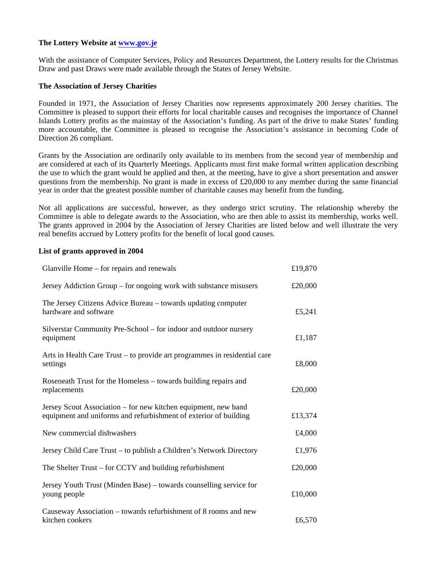# **The Lottery Website at <www.gov.je>**

With the assistance of Computer Services, Policy and Resources Department, the Lottery results for the Christmas Draw and past Draws were made available through the States of Jersey Website.

# **The Association of Jersey Charities**

Founded in 1971, the Association of Jersey Charities now represents approximately 200 Jersey charities. The Committee is pleased to support their efforts for local charitable causes and recognises the importance of Channel Islands Lottery profits as the mainstay of the Association's funding. As part of the drive to make States' funding more accountable, the Committee is pleased to recognise the Association's assistance in becoming Code of Direction 26 compliant.

Grants by the Association are ordinarily only available to its members from the second year of membership and are considered at each of its Quarterly Meetings. Applicants must first make formal written application describing the use to which the grant would be applied and then, at the meeting, have to give a short presentation and answer questions from the membership. No grant is made in excess of  $\text{\pounds}20,000$  to any member during the same financial year in order that the greatest possible number of charitable causes may benefit from the funding.

Not all applications are successful, however, as they undergo strict scrutiny. The relationship whereby the Committee is able to delegate awards to the Association, who are then able to assist its membership, works well. The grants approved in 2004 by the Association of Jersey Charities are listed below and well illustrate the very real benefits accrued by Lottery profits for the benefit of local good causes.

## **List of grants approved in 2004**

| Glanville Home – for repairs and renewals                                                                                          | £19,870 |
|------------------------------------------------------------------------------------------------------------------------------------|---------|
| Jersey Addiction Group – for ongoing work with substance misusers                                                                  | £20,000 |
| The Jersey Citizens Advice Bureau – towards updating computer<br>hardware and software                                             | £5,241  |
| Silverstar Community Pre-School – for indoor and outdoor nursery<br>equipment                                                      | £1,187  |
| Arts in Health Care Trust – to provide art programmes in residential care<br>settings                                              | £8,000  |
| Roseneath Trust for the Homeless – towards building repairs and<br>replacements                                                    | £20,000 |
| Jersey Scout Association – for new kitchen equipment, new band<br>equipment and uniforms and refurbishment of exterior of building | £13,374 |
| New commercial dishwashers                                                                                                         | £4,000  |
| Jersey Child Care Trust - to publish a Children's Network Directory                                                                | £1,976  |
| The Shelter Trust – for CCTV and building refurbishment                                                                            | £20,000 |
| Jersey Youth Trust (Minden Base) – towards counselling service for<br>young people                                                 | £10,000 |
| Causeway Association – towards refurbishment of 8 rooms and new<br>kitchen cookers                                                 | £6,570  |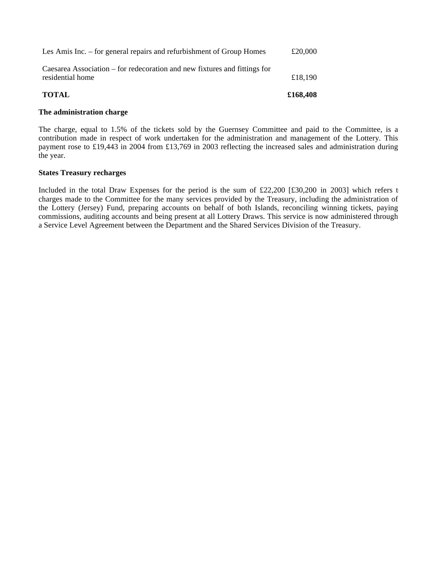| <b>TOTAL</b>                                                                                  | £168,408 |
|-----------------------------------------------------------------------------------------------|----------|
| Caesarea Association – for redecoration and new fixtures and fittings for<br>residential home | £18,190  |
| Les Amis Inc. – for general repairs and refurbishment of Group Homes                          | £20,000  |

# **The administration charge**

The charge, equal to 1.5% of the tickets sold by the Guernsey Committee and paid to the Committee, is a contribution made in respect of work undertaken for the administration and management of the Lottery. This payment rose to £19,443 in 2004 from £13,769 in 2003 reflecting the increased sales and administration during the year.

# **States Treasury recharges**

Included in the total Draw Expenses for the period is the sum of £22,200 [£30,200 in 2003] which refers t charges made to the Committee for the many services provided by the Treasury, including the administration of the Lottery (Jersey) Fund, preparing accounts on behalf of both Islands, reconciling winning tickets, paying commissions, auditing accounts and being present at all Lottery Draws. This service is now administered through a Service Level Agreement between the Department and the Shared Services Division of the Treasury.